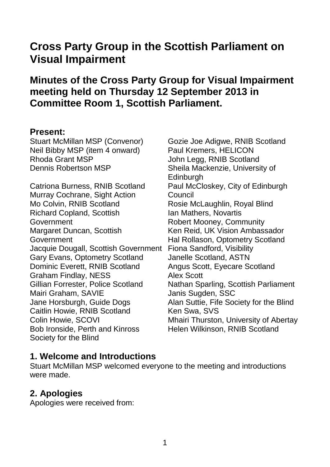# **Cross Party Group in the Scottish Parliament on Visual Impairment**

# **Minutes of the Cross Party Group for Visual Impairment meeting held on Thursday 12 September 2013 in Committee Room 1, Scottish Parliament.**

#### **Present:**

Stuart McMillan MSP (Convenor) Neil Bibby MSP (item 4 onward) Rhoda Grant MSP Dennis Robertson MSP

Catriona Burness, RNIB Scotland Murray Cochrane, Sight Action Mo Colvin, RNIB Scotland Richard Copland, Scottish Government Margaret Duncan, Scottish Government Jacquie Dougall, Scottish Government Gary Evans, Optometry Scotland Dominic Everett, RNIB Scotland Graham Findlay, NESS Gillian Forrester, Police Scotland Mairi Graham, SAVIE Jane Horsburgh, Guide Dogs Caitlin Howie, RNIB Scotland Colin Howie, SCOVI Bob Ironside, Perth and Kinross Society for the Blind

Gozie Joe Adigwe, RNIB Scotland Paul Kremers, HELICON John Legg, RNIB Scotland Sheila Mackenzie, University of **Edinburgh** Paul McCloskey, City of Edinburgh Council Rosie McLaughlin, Royal Blind Ian Mathers, Novartis Robert Mooney, Community Ken Reid, UK Vision Ambassador Hal Rollason, Optometry Scotland Fiona Sandford, Visibility Janelle Scotland, ASTN Angus Scott, Eyecare Scotland Alex Scott Nathan Sparling, Scottish Parliament Janis Sugden, SSC Alan Suttie, Fife Society for the Blind Ken Swa, SVS Mhairi Thurston, University of Abertay Helen Wilkinson, RNIB Scotland

## **1. Welcome and Introductions**

Stuart McMillan MSP welcomed everyone to the meeting and introductions were made.

## **2. Apologies**

Apologies were received from: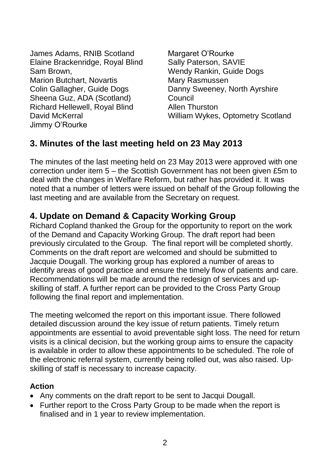| James Adams, RNIB Scotland            |
|---------------------------------------|
| Elaine Brackenridge, Royal Blind      |
| Sam Brown,                            |
| <b>Marion Butchart, Novartis</b>      |
| Colin Gallagher, Guide Dogs           |
| Sheena Guz, ADA (Scotland)            |
| <b>Richard Hellewell, Royal Blind</b> |
| David McKerral                        |
| Jimmy O'Rourke                        |
|                                       |

Margaret O'Rourke Sally Paterson, SAVIE Wendy Rankin, Guide Dogs Mary Rasmussen Danny Sweeney, North Ayrshire Council Allen Thurston William Wykes, Optometry Scotland

# **3. Minutes of the last meeting held on 23 May 2013**

The minutes of the last meeting held on 23 May 2013 were approved with one correction under item 5 – the Scottish Government has not been given £5m to deal with the changes in Welfare Reform, but rather has provided it. It was noted that a number of letters were issued on behalf of the Group following the last meeting and are available from the Secretary on request.

## **4. Update on Demand & Capacity Working Group**

Richard Copland thanked the Group for the opportunity to report on the work of the Demand and Capacity Working Group. The draft report had been previously circulated to the Group. The final report will be completed shortly. Comments on the draft report are welcomed and should be submitted to Jacquie Dougall. The working group has explored a number of areas to identify areas of good practice and ensure the timely flow of patients and care. Recommendations will be made around the redesign of services and upskilling of staff. A further report can be provided to the Cross Party Group following the final report and implementation.

The meeting welcomed the report on this important issue. There followed detailed discussion around the key issue of return patients. Timely return appointments are essential to avoid preventable sight loss. The need for return visits is a clinical decision, but the working group aims to ensure the capacity is available in order to allow these appointments to be scheduled. The role of the electronic referral system, currently being rolled out, was also raised. Upskilling of staff is necessary to increase capacity.

### **Action**

- Any comments on the draft report to be sent to Jacqui Dougall.
- Further report to the Cross Party Group to be made when the report is finalised and in 1 year to review implementation.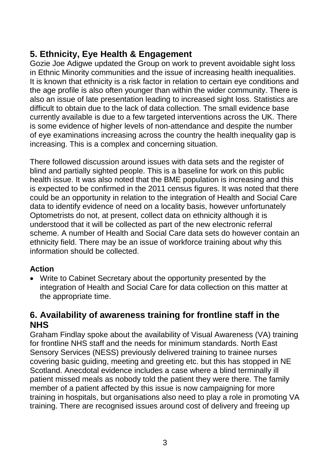# **5. Ethnicity, Eye Health & Engagement**

Gozie Joe Adigwe updated the Group on work to prevent avoidable sight loss in Ethnic Minority communities and the issue of increasing health inequalities. It is known that ethnicity is a risk factor in relation to certain eye conditions and the age profile is also often younger than within the wider community. There is also an issue of late presentation leading to increased sight loss. Statistics are difficult to obtain due to the lack of data collection. The small evidence base currently available is due to a few targeted interventions across the UK. There is some evidence of higher levels of non-attendance and despite the number of eye examinations increasing across the country the health inequality gap is increasing. This is a complex and concerning situation.

There followed discussion around issues with data sets and the register of blind and partially sighted people. This is a baseline for work on this public health issue. It was also noted that the BME population is increasing and this is expected to be confirmed in the 2011 census figures. It was noted that there could be an opportunity in relation to the integration of Health and Social Care data to identify evidence of need on a locality basis, however unfortunately Optometrists do not, at present, collect data on ethnicity although it is understood that it will be collected as part of the new electronic referral scheme. A number of Health and Social Care data sets do however contain an ethnicity field. There may be an issue of workforce training about why this information should be collected.

#### **Action**

 Write to Cabinet Secretary about the opportunity presented by the integration of Health and Social Care for data collection on this matter at the appropriate time.

### **6. Availability of awareness training for frontline staff in the NHS**

Graham Findlay spoke about the availability of Visual Awareness (VA) training for frontline NHS staff and the needs for minimum standards. North East Sensory Services (NESS) previously delivered training to trainee nurses covering basic guiding, meeting and greeting etc. but this has stopped in NE Scotland. Anecdotal evidence includes a case where a blind terminally ill patient missed meals as nobody told the patient they were there. The family member of a patient affected by this issue is now campaigning for more training in hospitals, but organisations also need to play a role in promoting VA training. There are recognised issues around cost of delivery and freeing up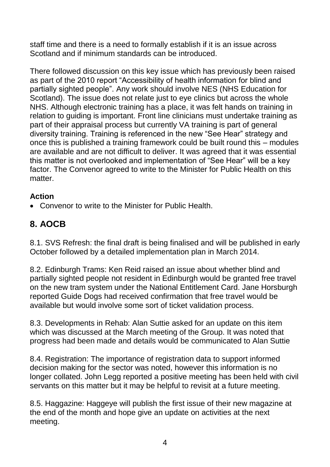staff time and there is a need to formally establish if it is an issue across Scotland and if minimum standards can be introduced.

There followed discussion on this key issue which has previously been raised as part of the 2010 report "Accessibility of health information for blind and partially sighted people". Any work should involve NES (NHS Education for Scotland). The issue does not relate just to eye clinics but across the whole NHS. Although electronic training has a place, it was felt hands on training in relation to guiding is important. Front line clinicians must undertake training as part of their appraisal process but currently VA training is part of general diversity training. Training is referenced in the new "See Hear" strategy and once this is published a training framework could be built round this – modules are available and are not difficult to deliver. It was agreed that it was essential this matter is not overlooked and implementation of "See Hear" will be a key factor. The Convenor agreed to write to the Minister for Public Health on this matter.

### **Action**

Convenor to write to the Minister for Public Health.

# **8. AOCB**

8.1. SVS Refresh: the final draft is being finalised and will be published in early October followed by a detailed implementation plan in March 2014.

8.2. Edinburgh Trams: Ken Reid raised an issue about whether blind and partially sighted people not resident in Edinburgh would be granted free travel on the new tram system under the National Entitlement Card. Jane Horsburgh reported Guide Dogs had received confirmation that free travel would be available but would involve some sort of ticket validation process.

8.3. Developments in Rehab: Alan Suttie asked for an update on this item which was discussed at the March meeting of the Group. It was noted that progress had been made and details would be communicated to Alan Suttie

8.4. Registration: The importance of registration data to support informed decision making for the sector was noted, however this information is no longer collated. John Legg reported a positive meeting has been held with civil servants on this matter but it may be helpful to revisit at a future meeting.

8.5. Haggazine: Haggeye will publish the first issue of their new magazine at the end of the month and hope give an update on activities at the next meeting.